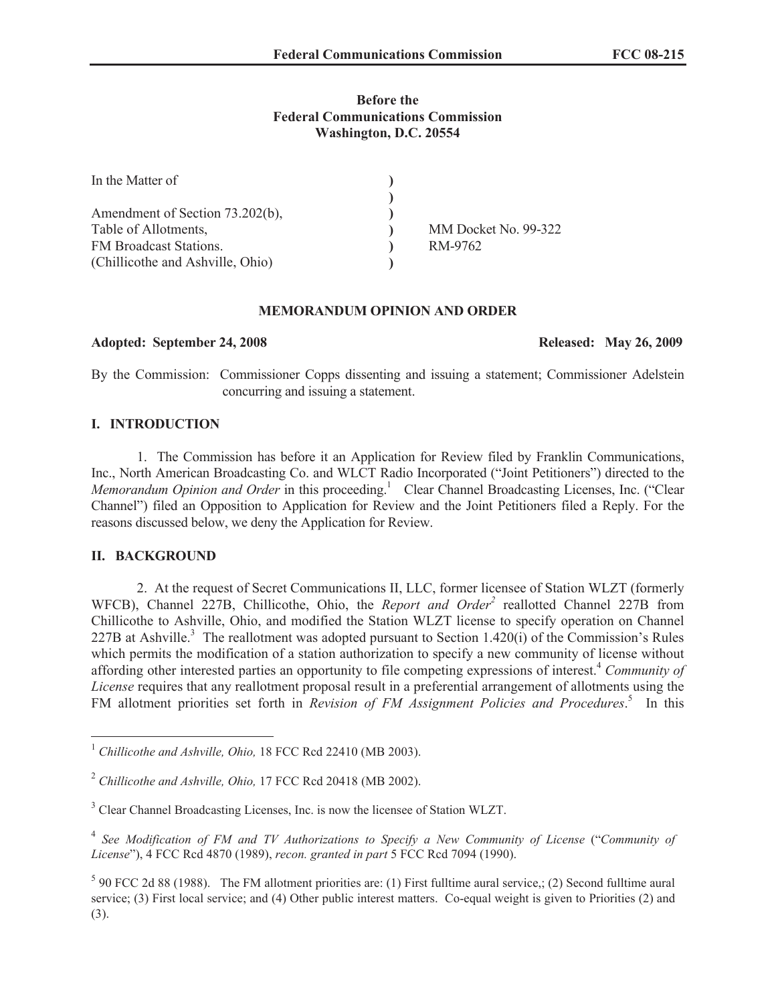# **Before the Federal Communications Commission Washington, D.C. 20554**

| In the Matter of                 |                      |
|----------------------------------|----------------------|
|                                  |                      |
| Amendment of Section 73.202(b),  |                      |
| Table of Allotments,             | MM Docket No. 99-322 |
| FM Broadcast Stations.           | RM-9762              |
| (Chillicothe and Ashville, Ohio) |                      |

### **MEMORANDUM OPINION AND ORDER**

## **Adopted: September 24, 2008 Released: May 26, 2009**

By the Commission: Commissioner Copps dissenting and issuing a statement; Commissioner Adelstein concurring and issuing a statement.

# **I. INTRODUCTION**

1. The Commission has before it an Application for Review filed by Franklin Communications, Inc., North American Broadcasting Co. and WLCT Radio Incorporated ("Joint Petitioners") directed to the *Memorandum Opinion and Order* in this proceeding.<sup>1</sup> Clear Channel Broadcasting Licenses, Inc. ("Clear Channel") filed an Opposition to Application for Review and the Joint Petitioners filed a Reply. For the reasons discussed below, we deny the Application for Review.

# **II. BACKGROUND**

2. At the request of Secret Communications II, LLC, former licensee of Station WLZT (formerly WFCB), Channel 227B, Chillicothe, Ohio, the *Report and Order*<sup>2</sup> reallotted Channel 227B from Chillicothe to Ashville, Ohio, and modified the Station WLZT license to specify operation on Channel 227B at Ashville.<sup>3</sup> The reallotment was adopted pursuant to Section 1.420(i) of the Commission's Rules which permits the modification of a station authorization to specify a new community of license without affording other interested parties an opportunity to file competing expressions of interest.<sup>4</sup> *Community of License* requires that any reallotment proposal result in a preferential arrangement of allotments using the FM allotment priorities set forth in *Revision of FM Assignment Policies and Procedures*. 5 In this

<sup>&</sup>lt;sup>1</sup> Chillicothe and Ashville, Ohio, 18 FCC Rcd 22410 (MB 2003).

<sup>2</sup> *Chillicothe and Ashville, Ohio,* 17 FCC Rcd 20418 (MB 2002).

<sup>&</sup>lt;sup>3</sup> Clear Channel Broadcasting Licenses, Inc. is now the licensee of Station WLZT.

<sup>&</sup>lt;sup>4</sup> See Modification of FM and TV Authorizations to Specify a New Community of License ("Community of *License*"), 4 FCC Rcd 4870 (1989), *recon. granted in part* 5 FCC Rcd 7094 (1990).

 $5$  90 FCC 2d 88 (1988). The FM allotment priorities are: (1) First fulltime aural service,; (2) Second fulltime aural service; (3) First local service; and (4) Other public interest matters. Co-equal weight is given to Priorities (2) and (3).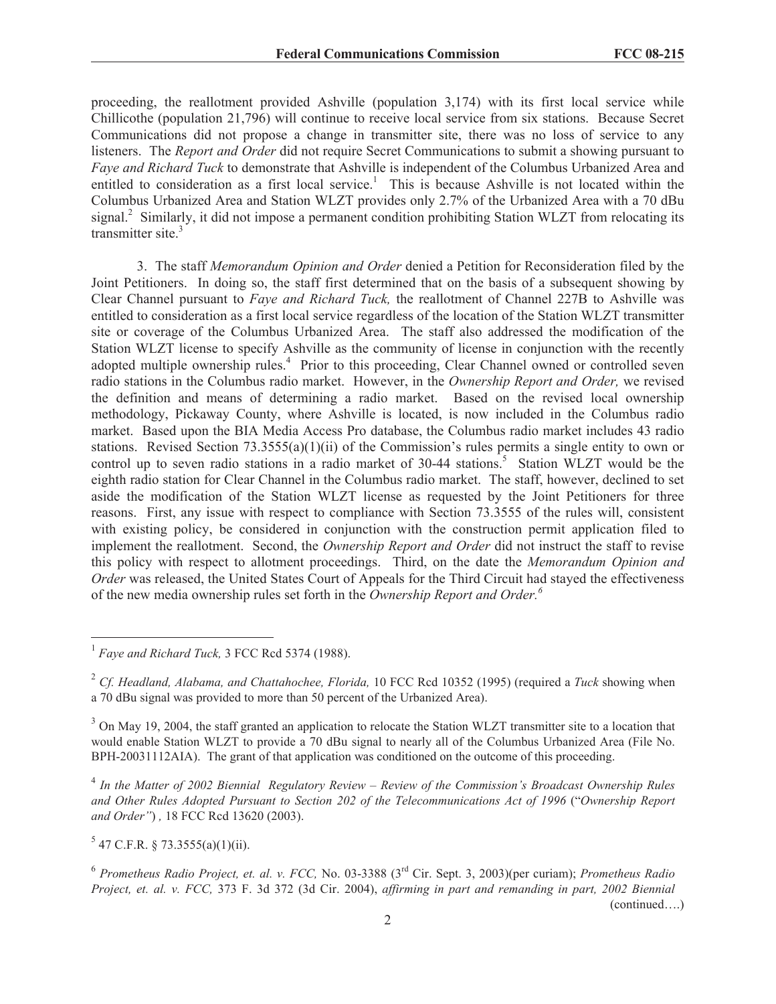proceeding, the reallotment provided Ashville (population 3,174) with its first local service while Chillicothe (population 21,796) will continue to receive local service from six stations. Because Secret Communications did not propose a change in transmitter site, there was no loss of service to any listeners. The *Report and Order* did not require Secret Communications to submit a showing pursuant to *Faye and Richard Tuck* to demonstrate that Ashville is independent of the Columbus Urbanized Area and entitled to consideration as a first local service.<sup>1</sup> This is because Ashville is not located within the Columbus Urbanized Area and Station WLZT provides only 2.7% of the Urbanized Area with a 70 dBu signal.<sup>2</sup> Similarly, it did not impose a permanent condition prohibiting Station WLZT from relocating its transmitter site.<sup>3</sup>

3. The staff *Memorandum Opinion and Order* denied a Petition for Reconsideration filed by the Joint Petitioners. In doing so, the staff first determined that on the basis of a subsequent showing by Clear Channel pursuant to *Faye and Richard Tuck,* the reallotment of Channel 227B to Ashville was entitled to consideration as a first local service regardless of the location of the Station WLZT transmitter site or coverage of the Columbus Urbanized Area. The staff also addressed the modification of the Station WLZT license to specify Ashville as the community of license in conjunction with the recently adopted multiple ownership rules.<sup>4</sup> Prior to this proceeding, Clear Channel owned or controlled seven radio stations in the Columbus radio market. However, in the *Ownership Report and Order,* we revised the definition and means of determining a radio market. Based on the revised local ownership methodology, Pickaway County, where Ashville is located, is now included in the Columbus radio market. Based upon the BIA Media Access Pro database, the Columbus radio market includes 43 radio stations. Revised Section 73.3555(a)(1)(ii) of the Commission's rules permits a single entity to own or control up to seven radio stations in a radio market of  $30-44$  stations.<sup>5</sup> Station WLZT would be the eighth radio station for Clear Channel in the Columbus radio market. The staff, however, declined to set aside the modification of the Station WLZT license as requested by the Joint Petitioners for three reasons. First, any issue with respect to compliance with Section 73.3555 of the rules will, consistent with existing policy, be considered in conjunction with the construction permit application filed to implement the reallotment. Second, the *Ownership Report and Order* did not instruct the staff to revise this policy with respect to allotment proceedings. Third, on the date the *Memorandum Opinion and Order* was released, the United States Court of Appeals for the Third Circuit had stayed the effectiveness of the new media ownership rules set forth in the *Ownership Report and Order.<sup>6</sup>*

4 *In the Matter of 2002 Biennial Regulatory Review – Review of the Commission's Broadcast Ownership Rules and Other Rules Adopted Pursuant to Section 202 of the Telecommunications Act of 1996* ("*Ownership Report and Order"*) *,* 18 FCC Rcd 13620 (2003).

 $5$  47 C.F.R. § 73.3555(a)(1)(ii).

6 *Prometheus Radio Project, et. al. v. FCC,* No. 03-3388 (3rd Cir. Sept. 3, 2003)(per curiam); *Prometheus Radio Project, et. al. v. FCC,* 373 F. 3d 372 (3d Cir. 2004), *affirming in part and remanding in part, 2002 Biennial*  (continued….)

<sup>&</sup>lt;sup>1</sup> Faye and Richard Tuck, 3 FCC Rcd 5374 (1988).

<sup>2</sup> *Cf. Headland, Alabama, and Chattahochee, Florida,* 10 FCC Rcd 10352 (1995) (required a *Tuck* showing when a 70 dBu signal was provided to more than 50 percent of the Urbanized Area).

 $3$  On May 19, 2004, the staff granted an application to relocate the Station WLZT transmitter site to a location that would enable Station WLZT to provide a 70 dBu signal to nearly all of the Columbus Urbanized Area (File No. BPH-20031112AIA). The grant of that application was conditioned on the outcome of this proceeding.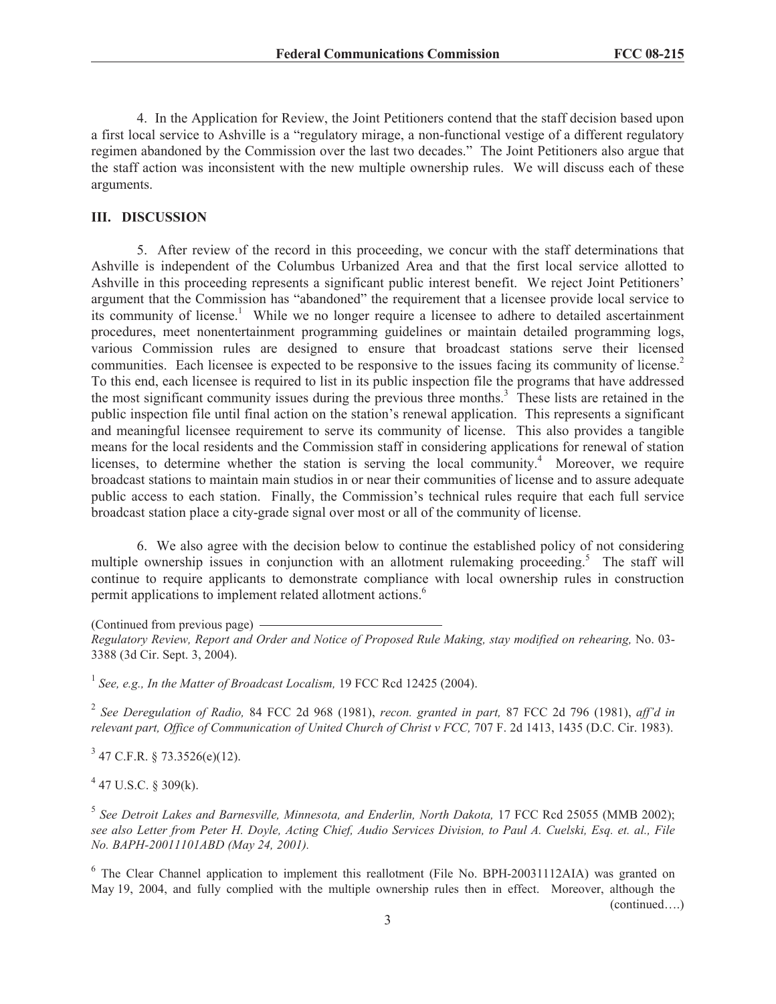4. In the Application for Review, the Joint Petitioners contend that the staff decision based upon a first local service to Ashville is a "regulatory mirage, a non-functional vestige of a different regulatory regimen abandoned by the Commission over the last two decades." The Joint Petitioners also argue that the staff action was inconsistent with the new multiple ownership rules. We will discuss each of these arguments.

## **III. DISCUSSION**

5. After review of the record in this proceeding, we concur with the staff determinations that Ashville is independent of the Columbus Urbanized Area and that the first local service allotted to Ashville in this proceeding represents a significant public interest benefit. We reject Joint Petitioners' argument that the Commission has "abandoned" the requirement that a licensee provide local service to its community of license.<sup>1</sup> While we no longer require a licensee to adhere to detailed ascertainment procedures, meet nonentertainment programming guidelines or maintain detailed programming logs, various Commission rules are designed to ensure that broadcast stations serve their licensed communities. Each licensee is expected to be responsive to the issues facing its community of license.<sup>2</sup> To this end, each licensee is required to list in its public inspection file the programs that have addressed the most significant community issues during the previous three months.<sup>3</sup> These lists are retained in the public inspection file until final action on the station's renewal application. This represents a significant and meaningful licensee requirement to serve its community of license. This also provides a tangible means for the local residents and the Commission staff in considering applications for renewal of station licenses, to determine whether the station is serving the local community.<sup>4</sup> Moreover, we require broadcast stations to maintain main studios in or near their communities of license and to assure adequate public access to each station. Finally, the Commission's technical rules require that each full service broadcast station place a city-grade signal over most or all of the community of license.

6. We also agree with the decision below to continue the established policy of not considering multiple ownership issues in conjunction with an allotment rulemaking proceeding.<sup>5</sup> The staff will continue to require applicants to demonstrate compliance with local ownership rules in construction permit applications to implement related allotment actions.<sup>6</sup>

(Continued from previous page)

*Regulatory Review, Report and Order and Notice of Proposed Rule Making, stay modified on rehearing,* No. 03- 3388 (3d Cir. Sept. 3, 2004).

<sup>1</sup> See, e.g., In the Matter of Broadcast Localism, 19 FCC Rcd 12425 (2004).

2 *See Deregulation of Radio,* 84 FCC 2d 968 (1981), *recon. granted in part,* 87 FCC 2d 796 (1981), *aff'd in relevant part, Office of Communication of United Church of Christ v FCC, 707 F. 2d 1413, 1435 (D.C. Cir. 1983).* 

 $3$  47 C.F.R. § 73.3526(e)(12).

 $4$  47 U.S.C. § 309(k).

<sup>5</sup> See Detroit Lakes and Barnesville, Minnesota, and Enderlin, North Dakota, 17 FCC Rcd 25055 (MMB 2002); *see also Letter from Peter H. Doyle, Acting Chief, Audio Services Division, to Paul A. Cuelski, Esq. et. al., File No. BAPH-20011101ABD (May 24, 2001).* 

<sup>6</sup> The Clear Channel application to implement this reallotment (File No. BPH-20031112AIA) was granted on May 19, 2004, and fully complied with the multiple ownership rules then in effect. Moreover, although the

(continued….)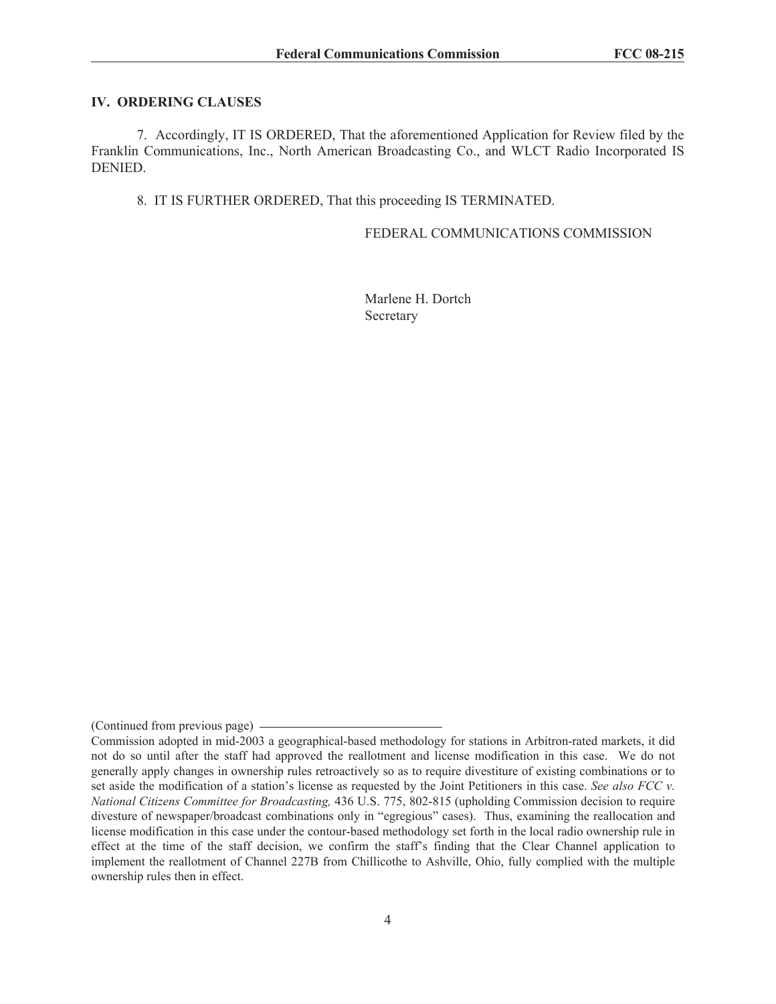### **IV. ORDERING CLAUSES**

7. Accordingly, IT IS ORDERED, That the aforementioned Application for Review filed by the Franklin Communications, Inc., North American Broadcasting Co., and WLCT Radio Incorporated IS DENIED.

8. IT IS FURTHER ORDERED, That this proceeding IS TERMINATED.

FEDERAL COMMUNICATIONS COMMISSION

Marlene H. Dortch Secretary

<sup>(</sup>Continued from previous page)

Commission adopted in mid-2003 a geographical-based methodology for stations in Arbitron-rated markets, it did not do so until after the staff had approved the reallotment and license modification in this case. We do not generally apply changes in ownership rules retroactively so as to require divestiture of existing combinations or to set aside the modification of a station's license as requested by the Joint Petitioners in this case. *See also FCC v. National Citizens Committee for Broadcasting,* 436 U.S. 775, 802-815 (upholding Commission decision to require divesture of newspaper/broadcast combinations only in "egregious" cases). Thus, examining the reallocation and license modification in this case under the contour-based methodology set forth in the local radio ownership rule in effect at the time of the staff decision, we confirm the staff's finding that the Clear Channel application to implement the reallotment of Channel 227B from Chillicothe to Ashville, Ohio, fully complied with the multiple ownership rules then in effect.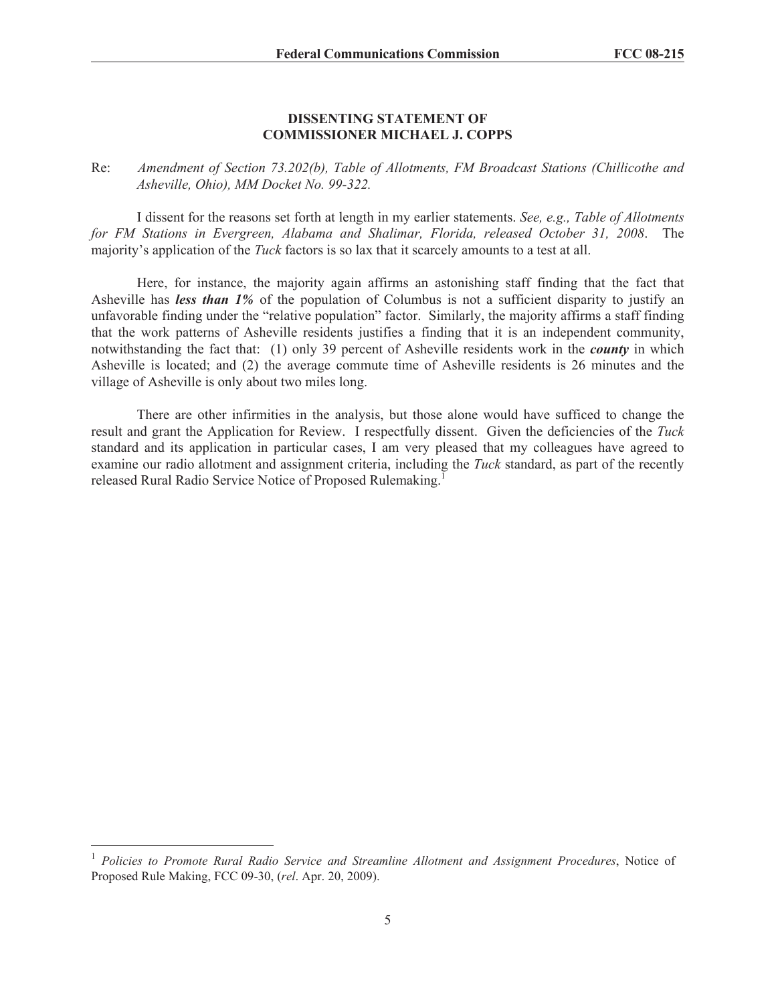### **DISSENTING STATEMENT OF COMMISSIONER MICHAEL J. COPPS**

Re: *Amendment of Section 73.202(b), Table of Allotments, FM Broadcast Stations (Chillicothe and Asheville, Ohio), MM Docket No. 99-322.*

I dissent for the reasons set forth at length in my earlier statements. *See, e.g., Table of Allotments for FM Stations in Evergreen, Alabama and Shalimar, Florida, released October 31, 2008*. The majority's application of the *Tuck* factors is so lax that it scarcely amounts to a test at all.

Here, for instance, the majority again affirms an astonishing staff finding that the fact that Asheville has *less than 1%* of the population of Columbus is not a sufficient disparity to justify an unfavorable finding under the "relative population" factor. Similarly, the majority affirms a staff finding that the work patterns of Asheville residents justifies a finding that it is an independent community, notwithstanding the fact that: (1) only 39 percent of Asheville residents work in the *county* in which Asheville is located; and (2) the average commute time of Asheville residents is 26 minutes and the village of Asheville is only about two miles long.

There are other infirmities in the analysis, but those alone would have sufficed to change the result and grant the Application for Review. I respectfully dissent. Given the deficiencies of the *Tuck*  standard and its application in particular cases, I am very pleased that my colleagues have agreed to examine our radio allotment and assignment criteria, including the *Tuck* standard, as part of the recently released Rural Radio Service Notice of Proposed Rulemaking.<sup>1</sup>

<sup>&</sup>lt;sup>1</sup> Policies to Promote Rural Radio Service and Streamline Allotment and Assignment Procedures, Notice of Proposed Rule Making, FCC 09-30, (*rel*. Apr. 20, 2009).